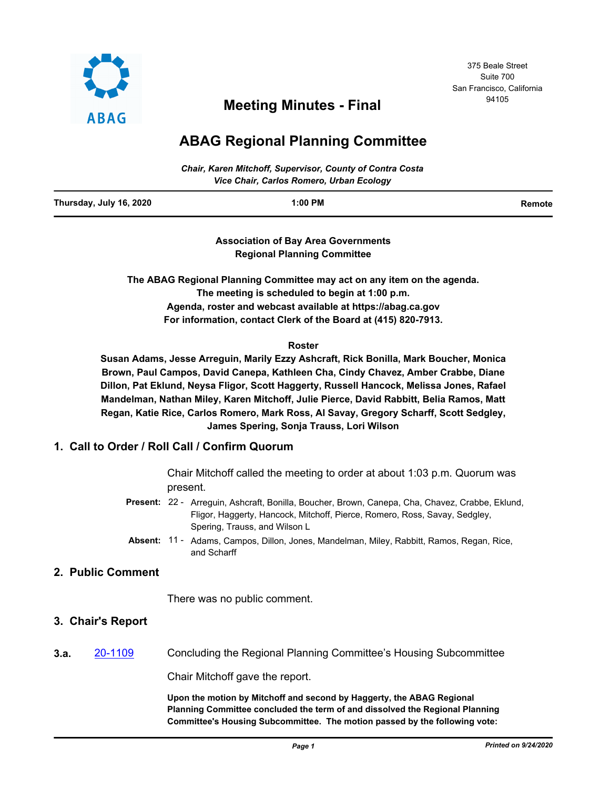

# <sup>94105</sup> **Meeting Minutes - Final**

# **ABAG Regional Planning Committee**

| Chair, Karen Mitchoff, Supervisor, County of Contra Costa |  |
|-----------------------------------------------------------|--|
| Vice Chair, Carlos Romero, Urban Ecology                  |  |

| Thursday, July 16, 2020 | 1:00 PM | Remote |
|-------------------------|---------|--------|
|                         |         |        |

**Association of Bay Area Governments Regional Planning Committee**

**The ABAG Regional Planning Committee may act on any item on the agenda. The meeting is scheduled to begin at 1:00 p.m. Agenda, roster and webcast available at https://abag.ca.gov For information, contact Clerk of the Board at (415) 820-7913.**

### **Roster**

**Susan Adams, Jesse Arreguin, Marily Ezzy Ashcraft, Rick Bonilla, Mark Boucher, Monica Brown, Paul Campos, David Canepa, Kathleen Cha, Cindy Chavez, Amber Crabbe, Diane Dillon, Pat Eklund, Neysa Fligor, Scott Haggerty, Russell Hancock, Melissa Jones, Rafael Mandelman, Nathan Miley, Karen Mitchoff, Julie Pierce, David Rabbitt, Belia Ramos, Matt Regan, Katie Rice, Carlos Romero, Mark Ross, Al Savay, Gregory Scharff, Scott Sedgley, James Spering, Sonja Trauss, Lori Wilson**

# **1. Call to Order / Roll Call / Confirm Quorum**

Chair Mitchoff called the meeting to order at about 1:03 p.m. Quorum was present.

- Present: 22 Arreguin, Ashcraft, Bonilla, Boucher, Brown, Canepa, Cha, Chavez, Crabbe, Eklund, Fligor, Haggerty, Hancock, Mitchoff, Pierce, Romero, Ross, Savay, Sedgley, Spering, Trauss, and Wilson L
- Absent: 11 Adams, Campos, Dillon, Jones, Mandelman, Miley, Rabbitt, Ramos, Regan, Rice, and Scharff

## **2. Public Comment**

There was no public comment.

## **3. Chair's Report**

**3.a.** [20-1109](http://mtc.legistar.com/gateway.aspx?m=l&id=/matter.aspx?key=20974) Concluding the Regional Planning Committee's Housing Subcommittee

Chair Mitchoff gave the report.

**Upon the motion by Mitchoff and second by Haggerty, the ABAG Regional Planning Committee concluded the term of and dissolved the Regional Planning Committee's Housing Subcommittee. The motion passed by the following vote:**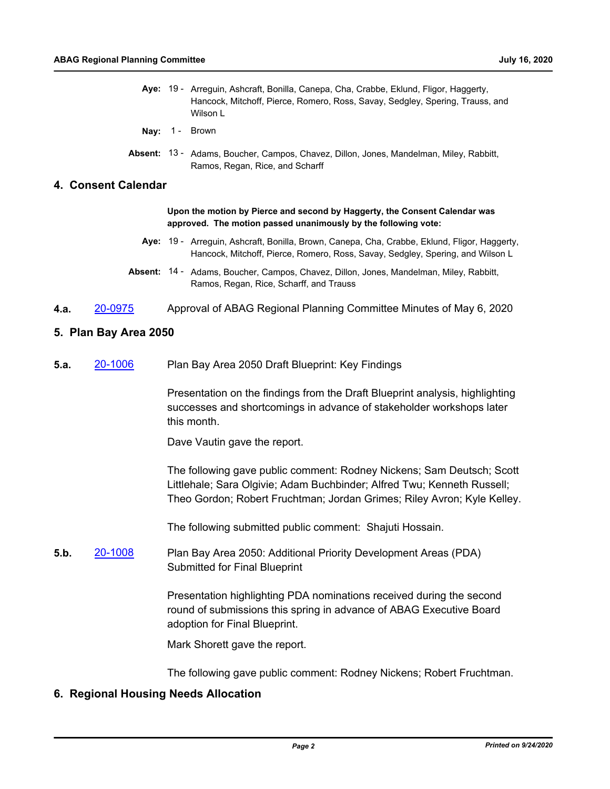- Aye: 19 Arreguin, Ashcraft, Bonilla, Canepa, Cha, Crabbe, Eklund, Fligor, Haggerty, Hancock, Mitchoff, Pierce, Romero, Ross, Savay, Sedgley, Spering, Trauss, and Wilson L
- Nay: 1 Brown
- Absent: 13 Adams, Boucher, Campos, Chavez, Dillon, Jones, Mandelman, Miley, Rabbitt, Ramos, Regan, Rice, and Scharff

#### **4. Consent Calendar**

**Upon the motion by Pierce and second by Haggerty, the Consent Calendar was approved. The motion passed unanimously by the following vote:**

- Aye: 19 Arreguin, Ashcraft, Bonilla, Brown, Canepa, Cha, Crabbe, Eklund, Fligor, Haggerty, Hancock, Mitchoff, Pierce, Romero, Ross, Savay, Sedgley, Spering, and Wilson L
- Absent: 14 Adams, Boucher, Campos, Chavez, Dillon, Jones, Mandelman, Miley, Rabbitt, Ramos, Regan, Rice, Scharff, and Trauss
- **4.a.** [20-0975](http://mtc.legistar.com/gateway.aspx?m=l&id=/matter.aspx?key=20839) Approval of ABAG Regional Planning Committee Minutes of May 6, 2020

### **5. Plan Bay Area 2050**

**5.a.** [20-1006](http://mtc.legistar.com/gateway.aspx?m=l&id=/matter.aspx?key=20870) Plan Bay Area 2050 Draft Blueprint: Key Findings

Presentation on the findings from the Draft Blueprint analysis, highlighting successes and shortcomings in advance of stakeholder workshops later this month.

Dave Vautin gave the report.

The following gave public comment: Rodney Nickens; Sam Deutsch; Scott Littlehale; Sara Olgivie; Adam Buchbinder; Alfred Twu; Kenneth Russell; Theo Gordon; Robert Fruchtman; Jordan Grimes; Riley Avron; Kyle Kelley.

The following submitted public comment: Shajuti Hossain.

**5.b.** [20-1008](http://mtc.legistar.com/gateway.aspx?m=l&id=/matter.aspx?key=20872) Plan Bay Area 2050: Additional Priority Development Areas (PDA) Submitted for Final Blueprint

> Presentation highlighting PDA nominations received during the second round of submissions this spring in advance of ABAG Executive Board adoption for Final Blueprint.

Mark Shorett gave the report.

The following gave public comment: Rodney Nickens; Robert Fruchtman.

## **6. Regional Housing Needs Allocation**